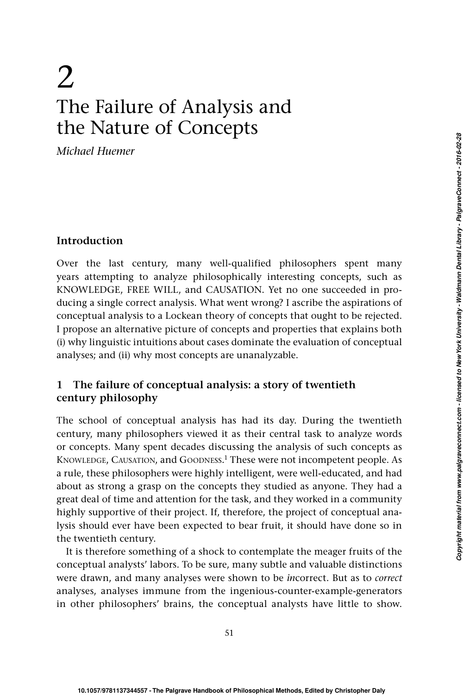# 2 The Failure of Analysis and the Nature of Concepts

*Michael Huemer* 

# **Introduction**

Over the last century, many well-qualified philosophers spent many years attempting to analyze philosophically interesting concepts, such as KNOWLEDGE, FREE WILL, and CAUSATION. Yet no one succeeded in producing a single correct analysis. What went wrong? I ascribe the aspirations of conceptual analysis to a Lockean theory of concepts that ought to be rejected. I propose an alternative picture of concepts and properties that explains both (i) why linguistic intuitions about cases dominate the evaluation of conceptual analyses; and (ii) why most concepts are unanalyzable.

# **1 The failure of conceptual analysis: a story of twentieth century philosophy**

The school of conceptual analysis has had its day. During the twentieth century, many philosophers viewed it as their central task to analyze words or concepts. Many spent decades discussing the analysis of such concepts as KNOWLEDGE, CAUSATION, and GOODNESS.<sup>1</sup> These were not incompetent people. As a rule, these philosophers were highly intelligent, were well-educated, and had about as strong a grasp on the concepts they studied as anyone. They had a great deal of time and attention for the task, and they worked in a community highly supportive of their project. If, therefore, the project of conceptual analysis should ever have been expected to bear fruit, it should have done so in the twentieth century.

It is therefore something of a shock to contemplate the meager fruits of the conceptual analysts' labors. To be sure, many subtle and valuable distinctions were drawn, and many analyses were shown to be *in*correct. But as to *correct* analyses, analyses immune from the ingenious-counter-example-generators in other philosophers' brains, the conceptual analysts have little to show.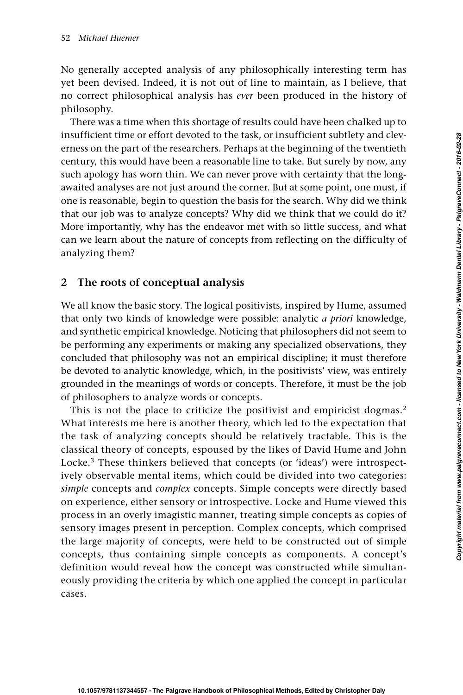No generally accepted analysis of any philosophically interesting term has yet been devised. Indeed, it is not out of line to maintain, as I believe, that no correct philosophical analysis has *ever* been produced in the history of philosophy.

There was a time when this shortage of results could have been chalked up to insufficient time or effort devoted to the task, or insufficient subtlety and cleverness on the part of the researchers. Perhaps at the beginning of the twentieth century, this would have been a reasonable line to take. But surely by now, any such apology has worn thin. We can never prove with certainty that the longawaited analyses are not just around the corner. But at some point, one must, if one is reasonable, begin to question the basis for the search. Why did we think that our job was to analyze concepts? Why did we think that we could do it? More importantly, why has the endeavor met with so little success, and what can we learn about the nature of concepts from reflecting on the difficulty of analyzing them?

## **2 The roots of conceptual analysis**

We all know the basic story. The logical positivists, inspired by Hume, assumed that only two kinds of knowledge were possible: analytic *a priori* knowledge, and synthetic empirical knowledge. Noticing that philosophers did not seem to be performing any experiments or making any specialized observations, they concluded that philosophy was not an empirical discipline; it must therefore be devoted to analytic knowledge, which, in the positivists' view, was entirely grounded in the meanings of words or concepts. Therefore, it must be the job of philosophers to analyze words or concepts.

This is not the place to criticize the positivist and empiricist dogmas.<sup>2</sup> What interests me here is another theory, which led to the expectation that the task of analyzing concepts should be relatively tractable. This is the classical theory of concepts, espoused by the likes of David Hume and John Locke.<sup>3</sup> These thinkers believed that concepts (or 'ideas') were introspectively observable mental items, which could be divided into two categories: *simple* concepts and *complex* concepts. Simple concepts were directly based on experience, either sensory or introspective. Locke and Hume viewed this process in an overly imagistic manner, treating simple concepts as copies of sensory images present in perception. Complex concepts, which comprised the large majority of concepts, were held to be constructed out of simple concepts, thus containing simple concepts as components. A concept's definition would reveal how the concept was constructed while simultaneously providing the criteria by which one applied the concept in particular cases.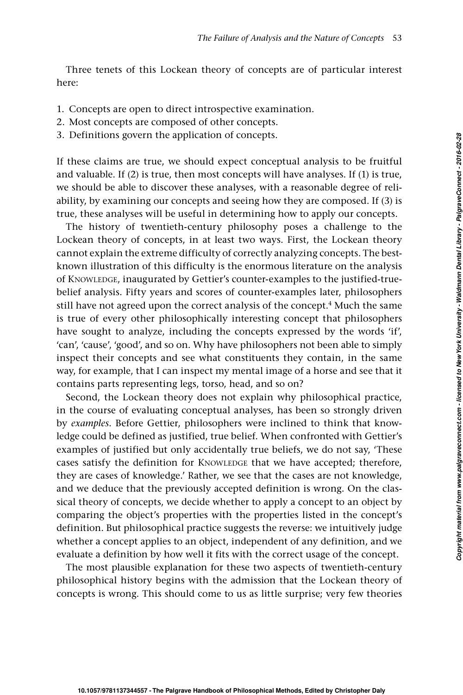Three tenets of this Lockean theory of concepts are of particular interest here:

- 1. Concepts are open to direct introspective examination.
- 2. Most concepts are composed of other concepts.
- 3. Definitions govern the application of concepts.

If these claims are true, we should expect conceptual analysis to be fruitful and valuable. If (2) is true, then most concepts will have analyses. If (1) is true, we should be able to discover these analyses, with a reasonable degree of reliability, by examining our concepts and seeing how they are composed. If (3) is true, these analyses will be useful in determining how to apply our concepts.

The history of twentieth-century philosophy poses a challenge to the Lockean theory of concepts, in at least two ways. First, the Lockean theory cannot explain the extreme difficulty of correctly analyzing concepts. The bestknown illustration of this difficulty is the enormous literature on the analysis of KNOWLEDGE, inaugurated by Gettier's counter-examples to the justified-truebelief analysis. Fifty years and scores of counter-examples later, philosophers still have not agreed upon the correct analysis of the concept.<sup>4</sup> Much the same is true of every other philosophically interesting concept that philosophers have sought to analyze, including the concepts expressed by the words 'if', 'can', 'cause', 'good', and so on. Why have philosophers not been able to simply inspect their concepts and see what constituents they contain, in the same way, for example, that I can inspect my mental image of a horse and see that it contains parts representing legs, torso, head, and so on?

Second, the Lockean theory does not explain why philosophical practice, in the course of evaluating conceptual analyses, has been so strongly driven by *examples*. Before Gettier, philosophers were inclined to think that knowledge could be defined as justified, true belief. When confronted with Gettier's examples of justified but only accidentally true beliefs, we do not say, 'These cases satisfy the definition for KNOWLEDGE that we have accepted; therefore, they are cases of knowledge.' Rather, we see that the cases are not knowledge, and we deduce that the previously accepted definition is wrong. On the classical theory of concepts, we decide whether to apply a concept to an object by comparing the object's properties with the properties listed in the concept's definition. But philosophical practice suggests the reverse: we intuitively judge whether a concept applies to an object, independent of any definition, and we evaluate a definition by how well it fits with the correct usage of the concept.

The most plausible explanation for these two aspects of twentieth-century philosophical history begins with the admission that the Lockean theory of concepts is wrong. This should come to us as little surprise; very few theories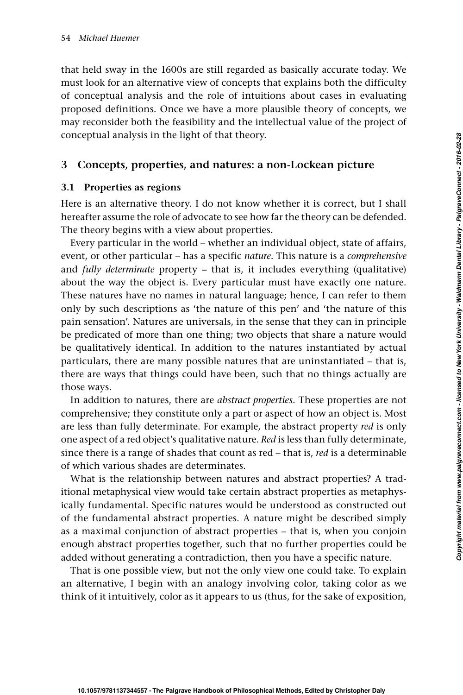that held sway in the 1600s are still regarded as basically accurate today. We must look for an alternative view of concepts that explains both the difficulty of conceptual analysis and the role of intuitions about cases in evaluating proposed definitions. Once we have a more plausible theory of concepts, we may reconsider both the feasibility and the intellectual value of the project of conceptual analysis in the light of that theory.

# **3 Concepts, properties, and natures: a non-Lockean picture**

## **3.1 Properties as regions**

Here is an alternative theory. I do not know whether it is correct, but I shall hereafter assume the role of advocate to see how far the theory can be defended. The theory begins with a view about properties.

Every particular in the world – whether an individual object, state of affairs, event, or other particular – has a specific *nature*. This nature is a *comprehensive* and *fully determinate* property – that is, it includes everything (qualitative) about the way the object is. Every particular must have exactly one nature. These natures have no names in natural language; hence, I can refer to them only by such descriptions as 'the nature of this pen' and 'the nature of this pain sensation'. Natures are universals, in the sense that they can in principle be predicated of more than one thing; two objects that share a nature would be qualitatively identical. In addition to the natures instantiated by actual particulars, there are many possible natures that are uninstantiated – that is, there are ways that things could have been, such that no things actually are those ways.

In addition to natures, there are *abstract properties*. These properties are not comprehensive; they constitute only a part or aspect of how an object is. Most are less than fully determinate. For example, the abstract property *red* is only one aspect of a red object's qualitative nature. *Red* is less than fully determinate, since there is a range of shades that count as red – that is, *red* is a determinable of which various shades are determinates.

What is the relationship between natures and abstract properties? A traditional metaphysical view would take certain abstract properties as metaphysically fundamental. Specific natures would be understood as constructed out of the fundamental abstract properties. A nature might be described simply as a maximal conjunction of abstract properties – that is, when you conjoin enough abstract properties together, such that no further properties could be added without generating a contradiction, then you have a specific nature.

That is one possible view, but not the only view one could take. To explain an alternative, I begin with an analogy involving color, taking color as we think of it intuitively, color as it appears to us (thus, for the sake of exposition,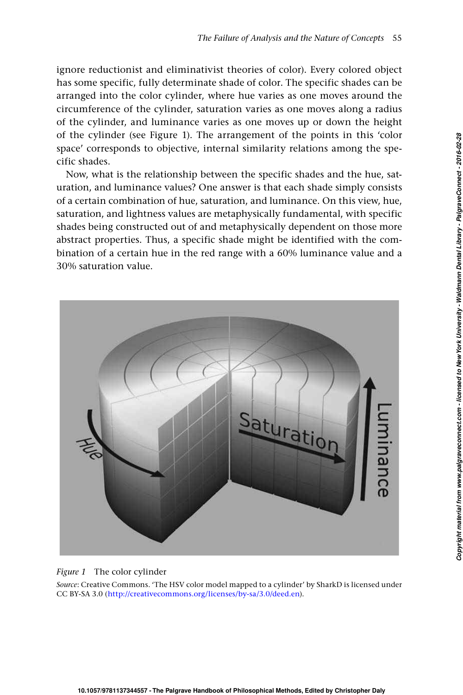ignore reductionist and eliminativist theories of color). Every colored object has some specific, fully determinate shade of color. The specific shades can be arranged into the color cylinder, where hue varies as one moves around the circumference of the cylinder, saturation varies as one moves along a radius of the cylinder, and luminance varies as one moves up or down the height of the cylinder (see Figure 1). The arrangement of the points in this 'color space' corresponds to objective, internal similarity relations among the specific shades.

Now, what is the relationship between the specific shades and the hue, saturation, and luminance values? One answer is that each shade simply consists of a certain combination of hue, saturation, and luminance. On this view, hue, saturation, and lightness values are metaphysically fundamental, with specific shades being constructed out of and metaphysically dependent on those more abstract properties. Thus, a specific shade might be identified with the combination of a certain hue in the red range with a 60% luminance value and a 30% saturation value.



#### *Figure 1* The color cylinder

*Source*: Creative Commons. 'The HSV color model mapped to a cylinder' by SharkD is licensed under CC BY-SA 3.0 (http://creativecommons.org/licenses/by-sa/3.0/deed.en).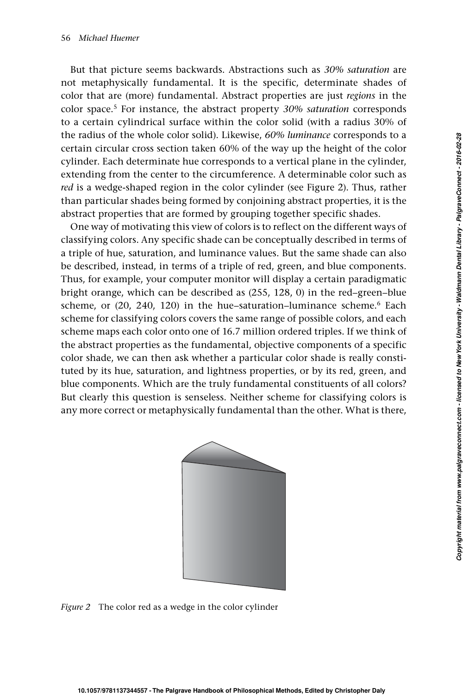But that picture seems backwards. Abstractions such as *30% saturation* are not metaphysically fundamental. It is the specific, determinate shades of color that are (more) fundamental. Abstract properties are just *regions* in the color space.<sup>5</sup> For instance, the abstract property 30% saturation corresponds to a certain cylindrical surface within the color solid (with a radius 30% of the radius of the whole color solid). Likewise, *60% luminance* corresponds to a certain circular cross section taken 60% of the way up the height of the color cylinder. Each determinate hue corresponds to a vertical plane in the cylinder, extending from the center to the circumference. A determinable color such as *red* is a wedge-shaped region in the color cylinder (see Figure 2). Thus, rather than particular shades being formed by conjoining abstract properties, it is the abstract properties that are formed by grouping together specific shades.

One way of motivating this view of colors is to reflect on the different ways of classifying colors. Any specific shade can be conceptually described in terms of a triple of hue, saturation, and luminance values. But the same shade can also be described, instead, in terms of a triple of red, green, and blue components. Thus, for example, your computer monitor will display a certain paradigmatic bright orange, which can be described as (255, 128, 0) in the red–green–blue scheme, or (20, 240, 120) in the hue–saturation–luminance scheme.<sup>6</sup> Each scheme for classifying colors covers the same range of possible colors, and each scheme maps each color onto one of 16.7 million ordered triples. If we think of the abstract properties as the fundamental, objective components of a specific color shade, we can then ask whether a particular color shade is really constituted by its hue, saturation, and lightness properties, or by its red, green, and blue components. Which are the truly fundamental constituents of all colors? But clearly this question is senseless. Neither scheme for classifying colors is any more correct or metaphysically fundamental than the other. What is there,



*Figure 2* The color red as a wedge in the color cylinder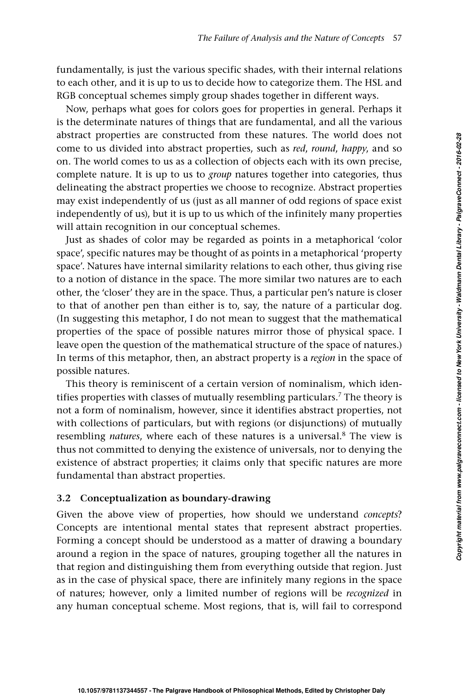fundamentally, is just the various specific shades, with their internal relations to each other, and it is up to us to decide how to categorize them. The HSL and RGB conceptual schemes simply group shades together in different ways.

Now, perhaps what goes for colors goes for properties in general. Perhaps it is the determinate natures of things that are fundamental, and all the various abstract properties are constructed from these natures. The world does not come to us divided into abstract properties, such as *red*, *round*, *happy*, and so on. The world comes to us as a collection of objects each with its own precise, complete nature. It is up to us to *group* natures together into categories, thus delineating the abstract properties we choose to recognize. Abstract properties may exist independently of us (just as all manner of odd regions of space exist independently of us), but it is up to us which of the infinitely many properties will attain recognition in our conceptual schemes.

Just as shades of color may be regarded as points in a metaphorical 'color space', specific natures may be thought of as points in a metaphorical 'property space'. Natures have internal similarity relations to each other, thus giving rise to a notion of distance in the space. The more similar two natures are to each other, the 'closer' they are in the space. Thus, a particular pen's nature is closer to that of another pen than either is to, say, the nature of a particular dog. (In suggesting this metaphor, I do not mean to suggest that the mathematical properties of the space of possible natures mirror those of physical space. I leave open the question of the mathematical structure of the space of natures.) In terms of this metaphor, then, an abstract property is a *region* in the space of possible natures.

This theory is reminiscent of a certain version of nominalism, which identifies properties with classes of mutually resembling particulars.<sup>7</sup> The theory is not a form of nominalism, however, since it identifies abstract properties, not with collections of particulars, but with regions (or disjunctions) of mutually resembling *natures*, where each of these natures is a universal.<sup>8</sup> The view is thus not committed to denying the existence of universals, nor to denying the existence of abstract properties; it claims only that specific natures are more fundamental than abstract properties.

#### **3.2 Conceptualization as boundary-drawing**

Given the above view of properties, how should we understand *concepts*? Concepts are intentional mental states that represent abstract properties. Forming a concept should be understood as a matter of drawing a boundary around a region in the space of natures, grouping together all the natures in that region and distinguishing them from everything outside that region. Just as in the case of physical space, there are infinitely many regions in the space of natures; however, only a limited number of regions will be *recognized* in any human conceptual scheme. Most regions, that is, will fail to correspond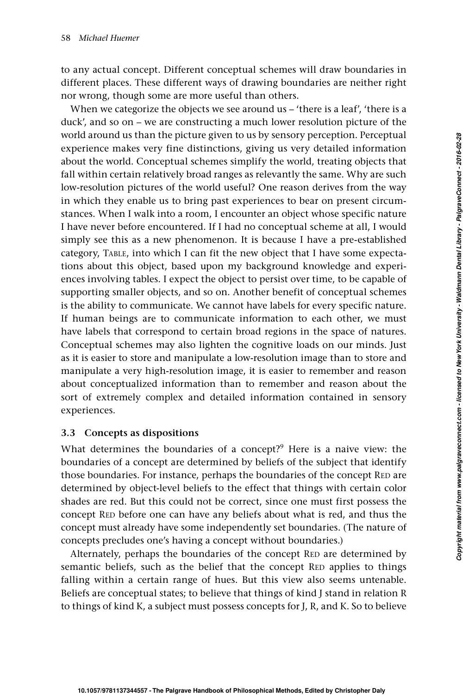to any actual concept. Different conceptual schemes will draw boundaries in different places. These different ways of drawing boundaries are neither right nor wrong, though some are more useful than others.

When we categorize the objects we see around us - 'there is a leaf', 'there is a duck', and so on – we are constructing a much lower resolution picture of the world around us than the picture given to us by sensory perception. Perceptual experience makes very fine distinctions, giving us very detailed information about the world. Conceptual schemes simplify the world, treating objects that fall within certain relatively broad ranges as relevantly the same. Why are such low-resolution pictures of the world useful? One reason derives from the way in which they enable us to bring past experiences to bear on present circumstances. When I walk into a room, I encounter an object whose specific nature I have never before encountered. If I had no conceptual scheme at all, I would simply see this as a new phenomenon. It is because I have a pre-established category, TABLE, into which I can fit the new object that I have some expectations about this object, based upon my background knowledge and experiences involving tables. I expect the object to persist over time, to be capable of supporting smaller objects, and so on. Another benefit of conceptual schemes is the ability to communicate. We cannot have labels for every specific nature. If human beings are to communicate information to each other, we must have labels that correspond to certain broad regions in the space of natures. Conceptual schemes may also lighten the cognitive loads on our minds. Just as it is easier to store and manipulate a low-resolution image than to store and manipulate a very high-resolution image, it is easier to remember and reason about conceptualized information than to remember and reason about the sort of extremely complex and detailed information contained in sensory experiences.

## **3.3 Concepts as dispositions**

What determines the boundaries of a concept?<sup>9</sup> Here is a naive view: the boundaries of a concept are determined by beliefs of the subject that identify those boundaries. For instance, perhaps the boundaries of the concept RED are determined by object-level beliefs to the effect that things with certain color shades are red. But this could not be correct, since one must first possess the concept RED before one can have any beliefs about what is red, and thus the concept must already have some independently set boundaries. (The nature of concepts precludes one's having a concept without boundaries.)

Alternately, perhaps the boundaries of the concept RED are determined by semantic beliefs, such as the belief that the concept RED applies to things falling within a certain range of hues. But this view also seems untenable. Beliefs are conceptual states; to believe that things of kind J stand in relation R to things of kind K, a subject must possess concepts for J, R, and K. So to believe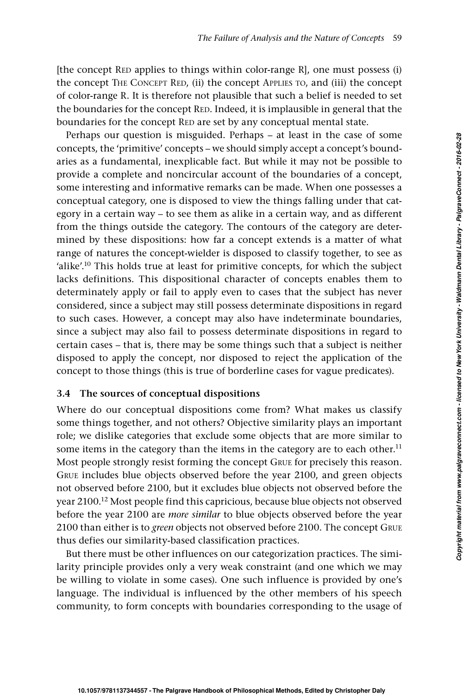[the concept RED applies to things within color-range R], one must possess (i) the concept THE CONCEPT RED, (ii) the concept APPLIES TO, and (iii) the concept of color-range R. It is therefore not plausible that such a belief is needed to set the boundaries for the concept RED. Indeed, it is implausible in general that the boundaries for the concept RED are set by any conceptual mental state.

Perhaps our question is misguided. Perhaps – at least in the case of some concepts, the 'primitive' concepts – we should simply accept a concept's boundaries as a fundamental, inexplicable fact. But while it may not be possible to provide a complete and noncircular account of the boundaries of a concept, some interesting and informative remarks can be made. When one possesses a conceptual category, one is disposed to view the things falling under that category in a certain way – to see them as alike in a certain way, and as different from the things outside the category. The contours of the category are determined by these dispositions: how far a concept extends is a matter of what range of natures the concept-wielder is disposed to classify together, to see as 'alike'.<sup>10</sup> This holds true at least for primitive concepts, for which the subject lacks definitions. This dispositional character of concepts enables them to determinately apply or fail to apply even to cases that the subject has never considered, since a subject may still possess determinate dispositions in regard to such cases. However, a concept may also have indeterminate boundaries, since a subject may also fail to possess determinate dispositions in regard to certain cases – that is, there may be some things such that a subject is neither disposed to apply the concept, nor disposed to reject the application of the concept to those things (this is true of borderline cases for vague predicates).

## **3.4 The sources of conceptual dispositions**

Where do our conceptual dispositions come from? What makes us classify some things together, and not others? Objective similarity plays an important role; we dislike categories that exclude some objects that are more similar to some items in the category than the items in the category are to each other.<sup>11</sup> Most people strongly resist forming the concept GRUE for precisely this reason. GRUE includes blue objects observed before the year 2100, and green objects not observed before 2100, but it excludes blue objects not observed before the year 2100.<sup>12</sup> Most people find this capricious, because blue objects not observed before the year 2100 are *more similar* to blue objects observed before the year 2100 than either is to *green* objects not observed before 2100. The concept GRUE thus defies our similarity-based classification practices.

But there must be other influences on our categorization practices. The similarity principle provides only a very weak constraint (and one which we may be willing to violate in some cases). One such influence is provided by one's language. The individual is influenced by the other members of his speech community, to form concepts with boundaries corresponding to the usage of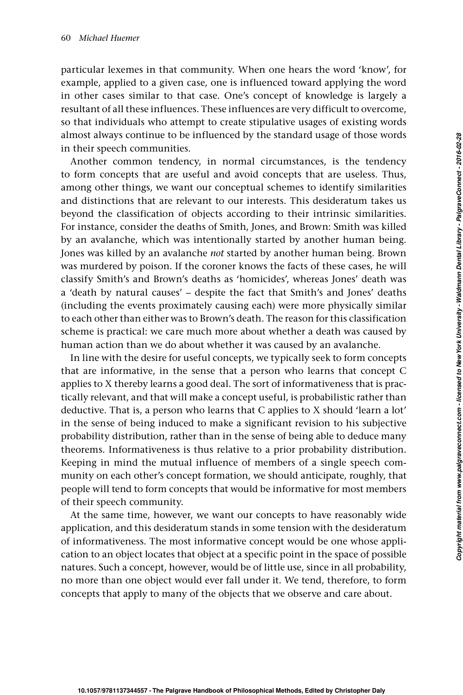particular lexemes in that community. When one hears the word 'know', for example, applied to a given case, one is influenced toward applying the word in other cases similar to that case. One's concept of knowledge is largely a resultant of all these influences. These influences are very difficult to overcome, so that individuals who attempt to create stipulative usages of existing words almost always continue to be influenced by the standard usage of those words in their speech communities.

Another common tendency, in normal circumstances, is the tendency to form concepts that are useful and avoid concepts that are useless. Thus, among other things, we want our conceptual schemes to identify similarities and distinctions that are relevant to our interests. This desideratum takes us beyond the classification of objects according to their intrinsic similarities. For instance, consider the deaths of Smith, Jones, and Brown: Smith was killed by an avalanche, which was intentionally started by another human being. Jones was killed by an avalanche *not* started by another human being. Brown was murdered by poison. If the coroner knows the facts of these cases, he will classify Smith's and Brown's deaths as 'homicides', whereas Jones' death was a 'death by natural causes' – despite the fact that Smith's and Jones' deaths (including the events proximately causing each) were more physically similar to each other than either was to Brown's death. The reason for this classification scheme is practical: we care much more about whether a death was caused by human action than we do about whether it was caused by an avalanche.

In line with the desire for useful concepts, we typically seek to form concepts that are informative, in the sense that a person who learns that concept C applies to X thereby learns a good deal. The sort of informativeness that is practically relevant, and that will make a concept useful, is probabilistic rather than deductive. That is, a person who learns that C applies to X should 'learn a lot' in the sense of being induced to make a significant revision to his subjective probability distribution, rather than in the sense of being able to deduce many theorems. Informativeness is thus relative to a prior probability distribution. Keeping in mind the mutual influence of members of a single speech community on each other's concept formation, we should anticipate, roughly, that people will tend to form concepts that would be informative for most members of their speech community.

At the same time, however, we want our concepts to have reasonably wide application, and this desideratum stands in some tension with the desideratum of informativeness. The most informative concept would be one whose application to an object locates that object at a specific point in the space of possible natures. Such a concept, however, would be of little use, since in all probability, no more than one object would ever fall under it. We tend, therefore, to form concepts that apply to many of the objects that we observe and care about.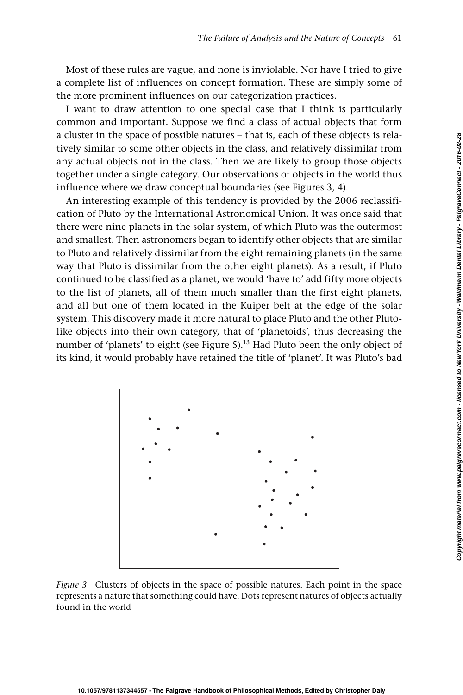Most of these rules are vague, and none is inviolable. Nor have I tried to give a complete list of influences on concept formation. These are simply some of the more prominent influences on our categorization practices.

I want to draw attention to one special case that I think is particularly common and important. Suppose we find a class of actual objects that form a cluster in the space of possible natures – that is, each of these objects is relatively similar to some other objects in the class, and relatively dissimilar from any actual objects not in the class. Then we are likely to group those objects together under a single category. Our observations of objects in the world thus influence where we draw conceptual boundaries (see Figures 3, 4).

An interesting example of this tendency is provided by the 2006 reclassification of Pluto by the International Astronomical Union. It was once said that there were nine planets in the solar system, of which Pluto was the outermost and smallest. Then astronomers began to identify other objects that are similar to Pluto and relatively dissimilar from the eight remaining planets (in the same way that Pluto is dissimilar from the other eight planets). As a result, if Pluto continued to be classified as a planet, we would 'have to' add fifty more objects to the list of planets, all of them much smaller than the first eight planets, and all but one of them located in the Kuiper belt at the edge of the solar system. This discovery made it more natural to place Pluto and the other Plutolike objects into their own category, that of 'planetoids', thus decreasing the number of 'planets' to eight (see Figure 5).<sup>13</sup> Had Pluto been the only object of its kind, it would probably have retained the title of 'planet'. It was Pluto's bad



*Figure 3* Clusters of objects in the space of possible natures. Each point in the space represents a nature that something could have. Dots represent natures of objects actually found in the world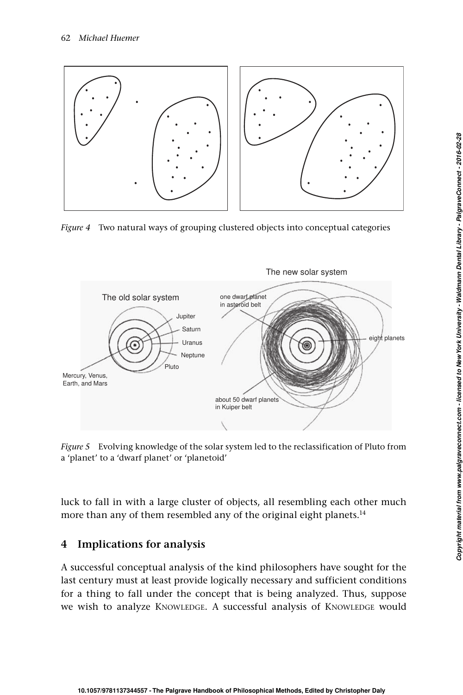

*Figure 4* Two natural ways of grouping clustered objects into conceptual categories



*Figure 5* Evolving knowledge of the solar system led to the reclassification of Pluto from a 'planet' to a 'dwarf planet' or 'planetoid'

luck to fall in with a large cluster of objects, all resembling each other much more than any of them resembled any of the original eight planets.<sup>14</sup>

## **4 Implications for analysis**

A successful conceptual analysis of the kind philosophers have sought for the last century must at least provide logically necessary and sufficient conditions for a thing to fall under the concept that is being analyzed. Thus, suppose we wish to analyze KNOWLEDGE. A successful analysis of KNOWLEDGE would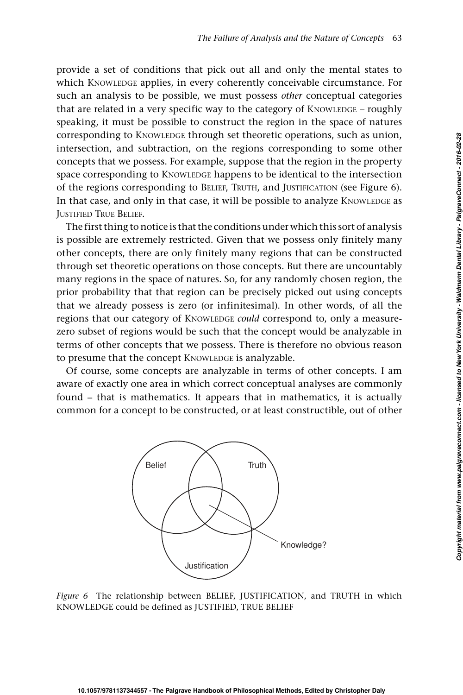provide a set of conditions that pick out all and only the mental states to which KNOWLEDGE applies, in every coherently conceivable circumstance. For such an analysis to be possible, we must possess *other* conceptual categories that are related in a very specific way to the category of KNOWLEDGE – roughly speaking, it must be possible to construct the region in the space of natures corresponding to KNOWLEDGE through set theoretic operations, such as union, intersection, and subtraction, on the regions corresponding to some other concepts that we possess. For example, suppose that the region in the property space corresponding to KNOWLEDGE happens to be identical to the intersection of the regions corresponding to BELIEF, TRUTH, and JUSTIFICATION (see Figure 6). In that case, and only in that case, it will be possible to analyze KNOWLEDGE as **JUSTIFIED TRUE BELIEF.** 

The first thing to notice is that the conditions under which this sort of analysis is possible are extremely restricted. Given that we possess only finitely many other concepts, there are only finitely many regions that can be constructed through set theoretic operations on those concepts. But there are uncountably many regions in the space of natures. So, for any randomly chosen region, the prior probability that that region can be precisely picked out using concepts that we already possess is zero (or infinitesimal). In other words, of all the regions that our category of KNOWLEDGE *could* correspond to, only a measurezero subset of regions would be such that the concept would be analyzable in terms of other concepts that we possess. There is therefore no obvious reason to presume that the concept KNOWLEDGE is analyzable.

Of course, some concepts are analyzable in terms of other concepts. I am aware of exactly one area in which correct conceptual analyses are commonly found – that is mathematics. It appears that in mathematics, it is actually common for a concept to be constructed, or at least constructible, out of other



*Figure 6* The relationship between BELIEF, JUSTIFICATION, and TRUTH in which KNOWLEDGE could be defined as JUSTIFIED, TRUE BELIEF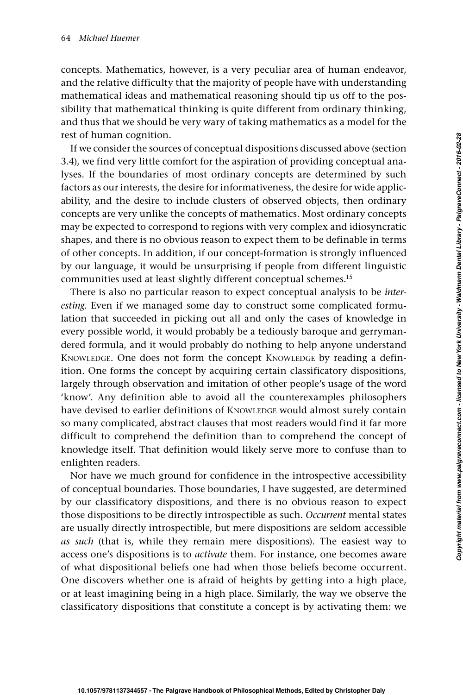concepts. Mathematics, however, is a very peculiar area of human endeavor, and the relative difficulty that the majority of people have with understanding mathematical ideas and mathematical reasoning should tip us off to the possibility that mathematical thinking is quite different from ordinary thinking, and thus that we should be very wary of taking mathematics as a model for the rest of human cognition.

If we consider the sources of conceptual dispositions discussed above (section 3.4), we find very little comfort for the aspiration of providing conceptual analyses. If the boundaries of most ordinary concepts are determined by such factors as our interests, the desire for informativeness, the desire for wide applicability, and the desire to include clusters of observed objects, then ordinary concepts are very unlike the concepts of mathematics. Most ordinary concepts may be expected to correspond to regions with very complex and idiosyncratic shapes, and there is no obvious reason to expect them to be definable in terms of other concepts. In addition, if our concept-formation is strongly influenced by our language, it would be unsurprising if people from different linguistic communities used at least slightly different conceptual schemes.<sup>15</sup>

There is also no particular reason to expect conceptual analysis to be *interesting*. Even if we managed some day to construct some complicated formulation that succeeded in picking out all and only the cases of knowledge in every possible world, it would probably be a tediously baroque and gerrymandered formula, and it would probably do nothing to help anyone understand KNOWLEDGE. One does not form the concept KNOWLEDGE by reading a definition. One forms the concept by acquiring certain classificatory dispositions, largely through observation and imitation of other people's usage of the word 'know'. Any definition able to avoid all the counterexamples philosophers have devised to earlier definitions of KNOWLEDGE would almost surely contain so many complicated, abstract clauses that most readers would find it far more difficult to comprehend the definition than to comprehend the concept of knowledge itself. That definition would likely serve more to confuse than to enlighten readers.

Nor have we much ground for confidence in the introspective accessibility of conceptual boundaries. Those boundaries, I have suggested, are determined by our classificatory dispositions, and there is no obvious reason to expect those dispositions to be directly introspectible as such. *Occurrent* mental states are usually directly introspectible, but mere dispositions are seldom accessible *as such* (that is, while they remain mere dispositions). The easiest way to access one's dispositions is to *activate* them. For instance, one becomes aware of what dispositional beliefs one had when those beliefs become occurrent. One discovers whether one is afraid of heights by getting into a high place, or at least imagining being in a high place. Similarly, the way we observe the classificatory dispositions that constitute a concept is by activating them: we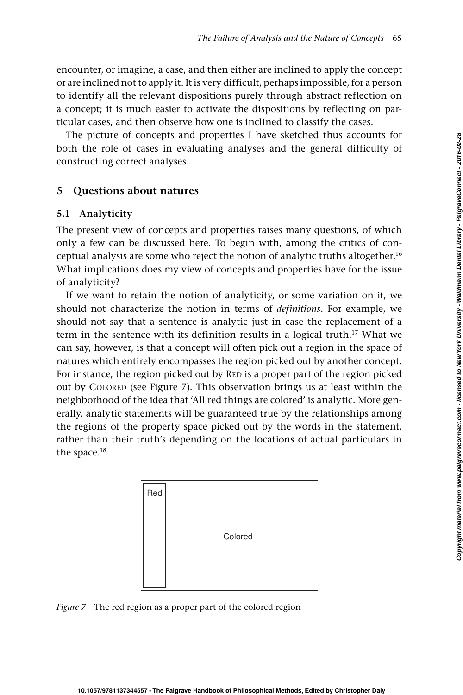encounter, or imagine, a case, and then either are inclined to apply the concept or are inclined not to apply it. It is very difficult, perhaps impossible, for a person to identify all the relevant dispositions purely through abstract reflection on a concept; it is much easier to activate the dispositions by reflecting on particular cases, and then observe how one is inclined to classify the cases.

The picture of concepts and properties I have sketched thus accounts for both the role of cases in evaluating analyses and the general difficulty of constructing correct analyses.

## **5 Questions about natures**

#### **5.1 Analyticity**

The present view of concepts and properties raises many questions, of which only a few can be discussed here. To begin with, among the critics of conceptual analysis are some who reject the notion of analytic truths altogether. <sup>16</sup> What implications does my view of concepts and properties have for the issue of analyticity?

If we want to retain the notion of analyticity, or some variation on it, we should not characterize the notion in terms of *definitions*. For example, we should not say that a sentence is analytic just in case the replacement of a term in the sentence with its definition results in a logical truth.<sup>17</sup> What we can say, however, is that a concept will often pick out a region in the space of natures which entirely encompasses the region picked out by another concept. For instance, the region picked out by RED is a proper part of the region picked out by COLORED (see Figure 7). This observation brings us at least within the neighborhood of the idea that 'All red things are colored' is analytic. More generally, analytic statements will be guaranteed true by the relationships among the regions of the property space picked out by the words in the statement, rather than their truth's depending on the locations of actual particulars in the space.<sup>18</sup>



*Figure 7* The red region as a proper part of the colored region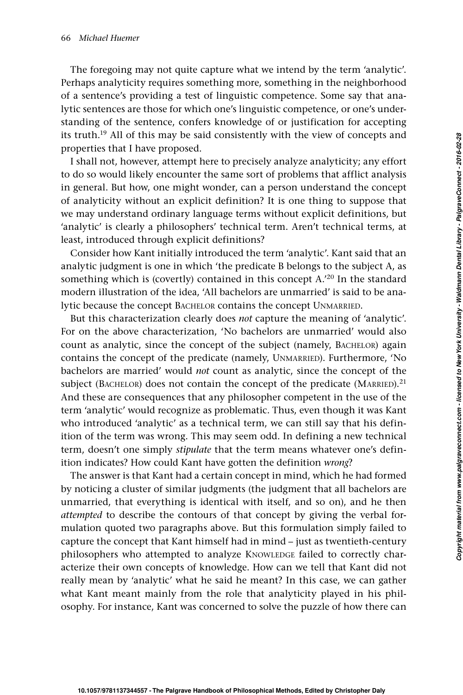The foregoing may not quite capture what we intend by the term 'analytic'. Perhaps analyticity requires something more, something in the neighborhood of a sentence's providing a test of linguistic competence. Some say that analytic sentences are those for which one's linguistic competence, or one's understanding of the sentence, confers knowledge of or justification for accepting its truth. <sup>19</sup> All of this may be said consistently with the view of concepts and properties that I have proposed.

I shall not, however, attempt here to precisely analyze analyticity; any effort to do so would likely encounter the same sort of problems that afflict analysis in general. But how, one might wonder, can a person understand the concept of analyticity without an explicit definition? It is one thing to suppose that we may understand ordinary language terms without explicit definitions, but 'analytic' is clearly a philosophers' technical term. Aren't technical terms, at least, introduced through explicit definitions?

Consider how Kant initially introduced the term 'analytic'. Kant said that an analytic judgment is one in which 'the predicate B belongs to the subject A, as something which is (covertly) contained in this concept  $A<sup>20</sup>$  In the standard modern illustration of the idea, 'All bachelors are unmarried' is said to be analytic because the concept BACHELOR contains the concept UNMARRIED.

But this characterization clearly does *not* capture the meaning of 'analytic'. For on the above characterization, 'No bachelors are unmarried' would also count as analytic, since the concept of the subject (namely, BACHELOR) again contains the concept of the predicate (namely, UNMARRIED). Furthermore, 'No bachelors are married' would *not* count as analytic, since the concept of the subject (BACHELOR) does not contain the concept of the predicate (MARRIED).<sup>21</sup> And these are consequences that any philosopher competent in the use of the term 'analytic' would recognize as problematic. Thus, even though it was Kant who introduced 'analytic' as a technical term, we can still say that his definition of the term was wrong. This may seem odd. In defining a new technical term, doesn't one simply *stipulate* that the term means whatever one's definition indicates? How could Kant have gotten the definition *wrong*?

The answer is that Kant had a certain concept in mind, which he had formed by noticing a cluster of similar judgments (the judgment that all bachelors are unmarried, that everything is identical with itself, and so on), and he then *attempted* to describe the contours of that concept by giving the verbal formulation quoted two paragraphs above. But this formulation simply failed to capture the concept that Kant himself had in mind – just as twentieth-century philosophers who attempted to analyze KNOWLEDGE failed to correctly characterize their own concepts of knowledge. How can we tell that Kant did not really mean by 'analytic' what he said he meant? In this case, we can gather what Kant meant mainly from the role that analyticity played in his philosophy. For instance, Kant was concerned to solve the puzzle of how there can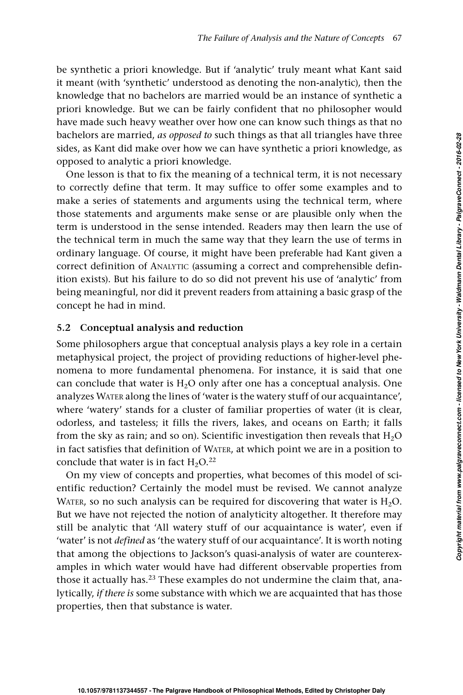be synthetic a priori knowledge. But if 'analytic' truly meant what Kant said it meant (with 'synthetic' understood as denoting the non-analytic), then the knowledge that no bachelors are married would be an instance of synthetic a priori knowledge. But we can be fairly confident that no philosopher would have made such heavy weather over how one can know such things as that no bachelors are married, *as opposed to* such things as that all triangles have three sides, as Kant did make over how we can have synthetic a priori knowledge, as opposed to analytic a priori knowledge.

One lesson is that to fix the meaning of a technical term, it is not necessary to correctly define that term. It may suffice to offer some examples and to make a series of statements and arguments using the technical term, where those statements and arguments make sense or are plausible only when the term is understood in the sense intended. Readers may then learn the use of the technical term in much the same way that they learn the use of terms in ordinary language. Of course, it might have been preferable had Kant given a correct definition of ANALYTIC (assuming a correct and comprehensible definition exists). But his failure to do so did not prevent his use of 'analytic' from being meaningful, nor did it prevent readers from attaining a basic grasp of the concept he had in mind.

#### **5.2 Conceptual analysis and reduction**

Some philosophers argue that conceptual analysis plays a key role in a certain metaphysical project, the project of providing reductions of higher-level phenomena to more fundamental phenomena. For instance, it is said that one can conclude that water is  $H_2O$  only after one has a conceptual analysis. One analyzes WATER along the lines of 'water is the watery stuff of our acquaintance', where 'watery' stands for a cluster of familiar properties of water (it is clear, odorless, and tasteless; it fills the rivers, lakes, and oceans on Earth; it falls from the sky as rain; and so on). Scientific investigation then reveals that  $\rm H_{2}O$ in fact satisfies that definition of WATER, at which point we are in a position to conclude that water is in fact  $H_2O^{22}$ .

On my view of concepts and properties, what becomes of this model of scientific reduction? Certainly the model must be revised. We cannot analyze WATER, so no such analysis can be required for discovering that water is  $H_2O$ . But we have not rejected the notion of analyticity altogether. It therefore may still be analytic that 'All watery stuff of our acquaintance is water', even if 'water' is not *defined* as 'the watery stuff of our acquaintance'. It is worth noting that among the objections to Jackson's quasi-analysis of water are counterexamples in which water would have had different observable properties from those it actually has.<sup>23</sup> These examples do not undermine the claim that, analytically, *if there is* some substance with which we are acquainted that has those properties, then that substance is water.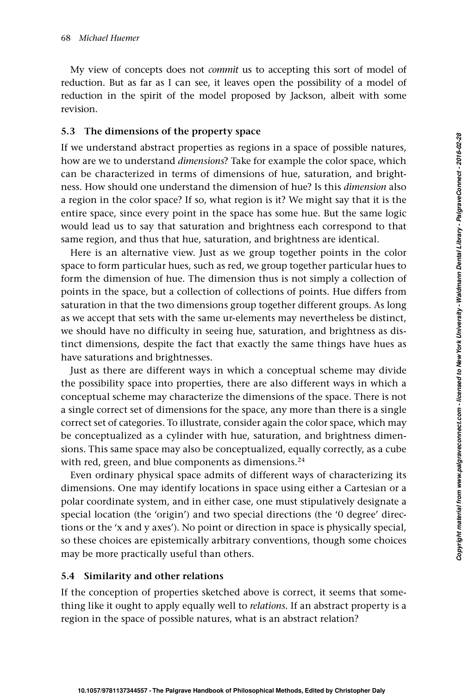My view of concepts does not *commit* us to accepting this sort of model of reduction. But as far as I can see, it leaves open the possibility of a model of reduction in the spirit of the model proposed by Jackson, albeit with some revision.

## **5.3 The dimensions of the property space**

If we understand abstract properties as regions in a space of possible natures, how are we to understand *dimensions*? Take for example the color space, which can be characterized in terms of dimensions of hue, saturation, and brightness. How should one understand the dimension of hue? Is this *dimension* also a region in the color space? If so, what region is it? We might say that it is the entire space, since every point in the space has some hue. But the same logic would lead us to say that saturation and brightness each correspond to that same region, and thus that hue, saturation, and brightness are identical.

Here is an alternative view. Just as we group together points in the color space to form particular hues, such as red, we group together particular hues to form the dimension of hue. The dimension thus is not simply a collection of points in the space, but a collection of collections of points. Hue differs from saturation in that the two dimensions group together different groups. As long as we accept that sets with the same ur-elements may nevertheless be distinct, we should have no difficulty in seeing hue, saturation, and brightness as distinct dimensions, despite the fact that exactly the same things have hues as have saturations and brightnesses.

Just as there are different ways in which a conceptual scheme may divide the possibility space into properties, there are also different ways in which a conceptual scheme may characterize the dimensions of the space. There is not a single correct set of dimensions for the space, any more than there is a single correct set of categories. To illustrate, consider again the color space, which may be conceptualized as a cylinder with hue, saturation, and brightness dimensions. This same space may also be conceptualized, equally correctly, as a cube with red, green, and blue components as dimensions.<sup>24</sup>

Even ordinary physical space admits of different ways of characterizing its dimensions. One may identify locations in space using either a Cartesian or a polar coordinate system, and in either case, one must stipulatively designate a special location (the 'origin') and two special directions (the '0 degree' directions or the 'x and y axes'). No point or direction in space is physically special, so these choices are epistemically arbitrary conventions, though some choices may be more practically useful than others.

## **5.4 Similarity and other relations**

If the conception of properties sketched above is correct, it seems that something like it ought to apply equally well to *relations.* If an abstract property is a region in the space of possible natures, what is an abstract relation?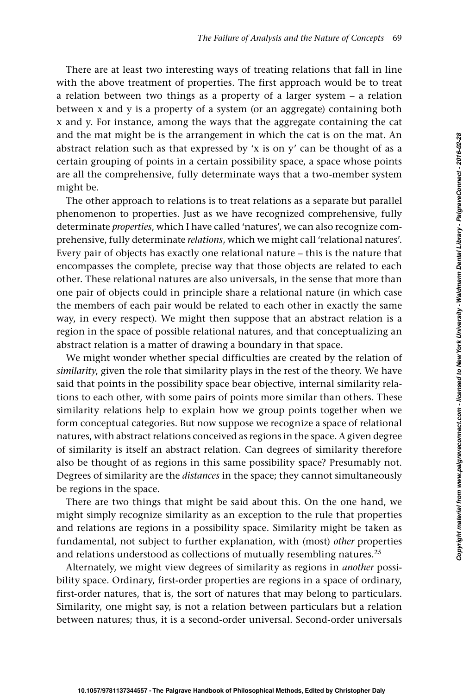There are at least two interesting ways of treating relations that fall in line with the above treatment of properties. The first approach would be to treat a relation between two things as a property of a larger system – a relation between x and y is a property of a system (or an aggregate) containing both x and y. For instance, among the ways that the aggregate containing the cat and the mat might be is the arrangement in which the cat is on the mat. An abstract relation such as that expressed by 'x is on  $y'$  can be thought of as a certain grouping of points in a certain possibility space, a space whose points are all the comprehensive, fully determinate ways that a two-member system might be.

The other approach to relations is to treat relations as a separate but parallel phenomenon to properties. Just as we have recognized comprehensive, fully determinate *properties*, which I have called 'natures', we can also recognize comprehensive, fully determinate *relations*, which we might call 'relational natures'. Every pair of objects has exactly one relational nature – this is the nature that encompasses the complete, precise way that those objects are related to each other. These relational natures are also universals, in the sense that more than one pair of objects could in principle share a relational nature (in which case the members of each pair would be related to each other in exactly the same way, in every respect). We might then suppose that an abstract relation is a region in the space of possible relational natures, and that conceptualizing an abstract relation is a matter of drawing a boundary in that space.

We might wonder whether special difficulties are created by the relation of *similarity*, given the role that similarity plays in the rest of the theory. We have said that points in the possibility space bear objective, internal similarity relations to each other, with some pairs of points more similar than others. These similarity relations help to explain how we group points together when we form conceptual categories. But now suppose we recognize a space of relational natures, with abstract relations conceived as regions in the space. A given degree of similarity is itself an abstract relation. Can degrees of similarity therefore also be thought of as regions in this same possibility space? Presumably not. Degrees of similarity are the *distances* in the space; they cannot simultaneously be regions in the space.

There are two things that might be said about this. On the one hand, we might simply recognize similarity as an exception to the rule that properties and relations are regions in a possibility space. Similarity might be taken as fundamental, not subject to further explanation, with (most) *other* properties and relations understood as collections of mutually resembling natures.<sup>25</sup>

Alternately, we might view degrees of similarity as regions in *another* possibility space. Ordinary, first-order properties are regions in a space of ordinary, first-order natures, that is, the sort of natures that may belong to particulars. Similarity, one might say, is not a relation between particulars but a relation between natures; thus, it is a second-order universal. Second-order universals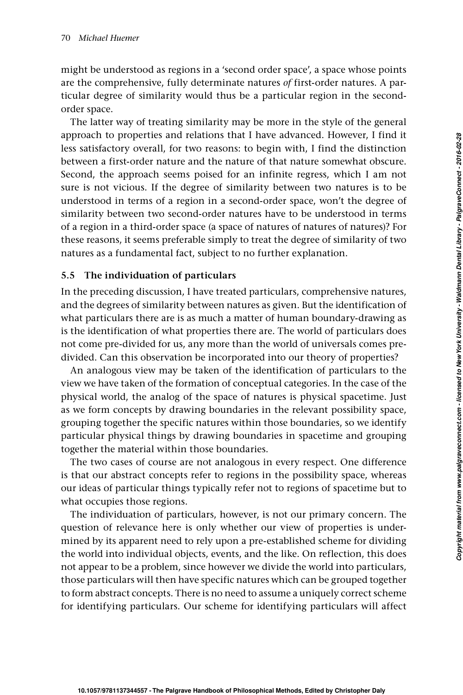might be understood as regions in a 'second order space', a space whose points are the comprehensive, fully determinate natures *of* first-order natures. A particular degree of similarity would thus be a particular region in the secondorder space.

The latter way of treating similarity may be more in the style of the general approach to properties and relations that I have advanced. However, I find it less satisfactory overall, for two reasons: to begin with, I find the distinction between a first-order nature and the nature of that nature somewhat obscure. Second, the approach seems poised for an infinite regress, which I am not sure is not vicious. If the degree of similarity between two natures is to be understood in terms of a region in a second-order space, won't the degree of similarity between two second-order natures have to be understood in terms of a region in a third-order space (a space of natures of natures of natures)? For these reasons, it seems preferable simply to treat the degree of similarity of two natures as a fundamental fact, subject to no further explanation.

# **5.5 The individuation of particulars**

In the preceding discussion, I have treated particulars, comprehensive natures, and the degrees of similarity between natures as given. But the identification of what particulars there are is as much a matter of human boundary-drawing as is the identification of what properties there are. The world of particulars does not come pre-divided for us, any more than the world of universals comes predivided. Can this observation be incorporated into our theory of properties?

An analogous view may be taken of the identification of particulars to the view we have taken of the formation of conceptual categories. In the case of the physical world, the analog of the space of natures is physical spacetime. Just as we form concepts by drawing boundaries in the relevant possibility space, grouping together the specific natures within those boundaries, so we identify particular physical things by drawing boundaries in spacetime and grouping together the material within those boundaries.

The two cases of course are not analogous in every respect. One difference is that our abstract concepts refer to regions in the possibility space, whereas our ideas of particular things typically refer not to regions of spacetime but to what occupies those regions.

The individuation of particulars, however, is not our primary concern. The question of relevance here is only whether our view of properties is undermined by its apparent need to rely upon a pre-established scheme for dividing the world into individual objects, events, and the like. On reflection, this does not appear to be a problem, since however we divide the world into particulars, those particulars will then have specific natures which can be grouped together to form abstract concepts. There is no need to assume a uniquely correct scheme for identifying particulars. Our scheme for identifying particulars will affect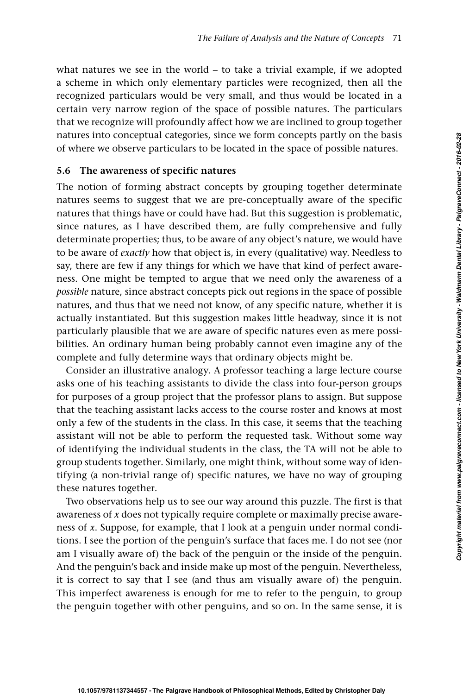what natures we see in the world – to take a trivial example, if we adopted a scheme in which only elementary particles were recognized, then all the recognized particulars would be very small, and thus would be located in a certain very narrow region of the space of possible natures. The particulars that we recognize will profoundly affect how we are inclined to group together natures into conceptual categories, since we form concepts partly on the basis of where we observe particulars to be located in the space of possible natures.

#### **5.6 The awareness of specific natures**

The notion of forming abstract concepts by grouping together determinate natures seems to suggest that we are pre-conceptually aware of the specific natures that things have or could have had. But this suggestion is problematic, since natures, as I have described them, are fully comprehensive and fully determinate properties; thus, to be aware of any object's nature, we would have to be aware of *exactly* how that object is, in every (qualitative) way. Needless to say, there are few if any things for which we have that kind of perfect awareness. One might be tempted to argue that we need only the awareness of a *possible* nature, since abstract concepts pick out regions in the space of possible natures, and thus that we need not know, of any specific nature, whether it is actually instantiated. But this suggestion makes little headway, since it is not particularly plausible that we are aware of specific natures even as mere possibilities. An ordinary human being probably cannot even imagine any of the complete and fully determine ways that ordinary objects might be.

Consider an illustrative analogy. A professor teaching a large lecture course asks one of his teaching assistants to divide the class into four-person groups for purposes of a group project that the professor plans to assign. But suppose that the teaching assistant lacks access to the course roster and knows at most only a few of the students in the class. In this case, it seems that the teaching assistant will not be able to perform the requested task. Without some way of identifying the individual students in the class, the TA will not be able to group students together. Similarly, one might think, without some way of identifying (a non-trivial range of) specific natures, we have no way of grouping these natures together.

Two observations help us to see our way around this puzzle. The first is that awareness of *x* does not typically require complete or maximally precise awareness of *x*. Suppose, for example, that I look at a penguin under normal conditions. I see the portion of the penguin's surface that faces me. I do not see (nor am I visually aware of) the back of the penguin or the inside of the penguin. And the penguin's back and inside make up most of the penguin. Nevertheless, it is correct to say that I see (and thus am visually aware of) the penguin. This imperfect awareness is enough for me to refer to the penguin, to group the penguin together with other penguins, and so on. In the same sense, it is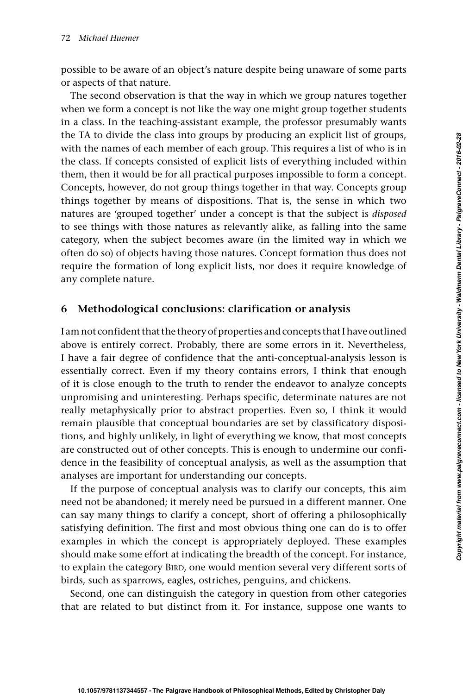possible to be aware of an object's nature despite being unaware of some parts or aspects of that nature.

The second observation is that the way in which we group natures together when we form a concept is not like the way one might group together students in a class. In the teaching-assistant example, the professor presumably wants the TA to divide the class into groups by producing an explicit list of groups, with the names of each member of each group. This requires a list of who is in the class. If concepts consisted of explicit lists of everything included within them, then it would be for all practical purposes impossible to form a concept. Concepts, however, do not group things together in that way. Concepts group things together by means of dispositions. That is, the sense in which two natures are 'grouped together' under a concept is that the subject is *disposed* to see things with those natures as relevantly alike, as falling into the same category, when the subject becomes aware (in the limited way in which we often do so) of objects having those natures. Concept formation thus does not require the formation of long explicit lists, nor does it require knowledge of any complete nature.

# **6 Methodological conclusions: clarification or analysis**

I am not confident that the theory of properties and concepts that I have outlined above is entirely correct. Probably, there are some errors in it. Nevertheless, I have a fair degree of confidence that the anti-conceptual-analysis lesson is essentially correct. Even if my theory contains errors, I think that enough of it is close enough to the truth to render the endeavor to analyze concepts unpromising and uninteresting. Perhaps specific, determinate natures are not really metaphysically prior to abstract properties. Even so, I think it would remain plausible that conceptual boundaries are set by classificatory dispositions, and highly unlikely, in light of everything we know, that most concepts are constructed out of other concepts. This is enough to undermine our confidence in the feasibility of conceptual analysis, as well as the assumption that analyses are important for understanding our concepts.

If the purpose of conceptual analysis was to clarify our concepts, this aim need not be abandoned; it merely need be pursued in a different manner. One can say many things to clarify a concept, short of offering a philosophically satisfying definition. The first and most obvious thing one can do is to offer examples in which the concept is appropriately deployed. These examples should make some effort at indicating the breadth of the concept. For instance, to explain the category BIRD, one would mention several very different sorts of birds, such as sparrows, eagles, ostriches, penguins, and chickens.

Second, one can distinguish the category in question from other categories that are related to but distinct from it. For instance, suppose one wants to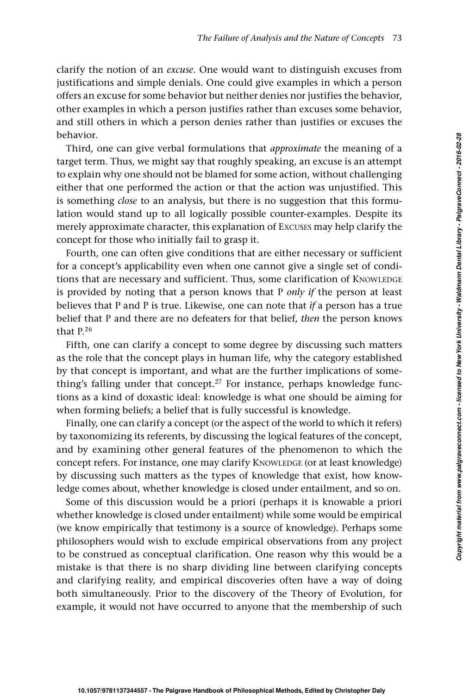clarify the notion of an *excuse*. One would want to distinguish excuses from justifications and simple denials. One could give examples in which a person offers an excuse for some behavior but neither denies nor justifies the behavior, other examples in which a person justifies rather than excuses some behavior, and still others in which a person denies rather than justifies or excuses the behavior.

Third, one can give verbal formulations that *approximate* the meaning of a target term. Thus, we might say that roughly speaking, an excuse is an attempt to explain why one should not be blamed for some action, without challenging either that one performed the action or that the action was unjustified. This is something *close* to an analysis, but there is no suggestion that this formulation would stand up to all logically possible counter-examples. Despite its merely approximate character, this explanation of EXCUSES may help clarify the concept for those who initially fail to grasp it.

Fourth, one can often give conditions that are either necessary or sufficient for a concept's applicability even when one cannot give a single set of conditions that are necessary and sufficient. Thus, some clarification of KNOWLEDGE is provided by noting that a person knows that P *only if* the person at least believes that P and P is true. Likewise, one can note that *if* a person has a true belief that P and there are no defeaters for that belief, *then* the person knows that P.<sup>26</sup>

Fifth, one can clarify a concept to some degree by discussing such matters as the role that the concept plays in human life, why the category established by that concept is important, and what are the further implications of something's falling under that concept.<sup>27</sup> For instance, perhaps knowledge functions as a kind of doxastic ideal: knowledge is what one should be aiming for when forming beliefs; a belief that is fully successful is knowledge.

Finally, one can clarify a concept (or the aspect of the world to which it refers) by taxonomizing its referents, by discussing the logical features of the concept, and by examining other general features of the phenomenon to which the concept refers. For instance, one may clarify KNOWLEDGE (or at least knowledge) by discussing such matters as the types of knowledge that exist, how knowledge comes about, whether knowledge is closed under entailment, and so on.

Some of this discussion would be a priori (perhaps it is knowable a priori whether knowledge is closed under entailment) while some would be empirical (we know empirically that testimony is a source of knowledge). Perhaps some philosophers would wish to exclude empirical observations from any project to be construed as conceptual clarification. One reason why this would be a mistake is that there is no sharp dividing line between clarifying concepts and clarifying reality, and empirical discoveries often have a way of doing both simultaneously. Prior to the discovery of the Theory of Evolution, for example, it would not have occurred to anyone that the membership of such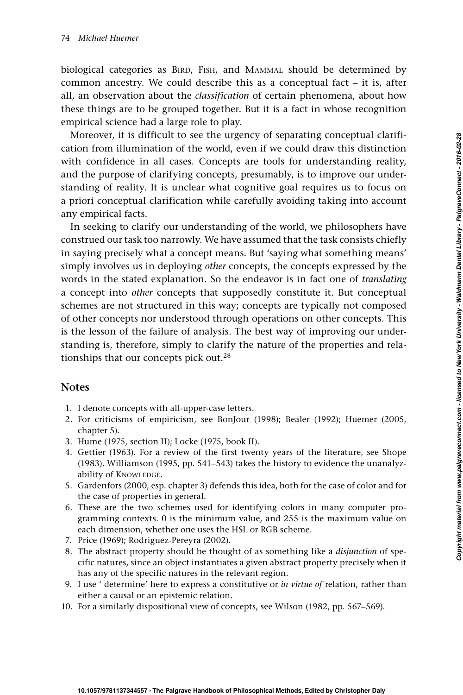biological categories as BIRD, FISH, and MAMMAL should be determined by common ancestry. We could describe this as a conceptual fact – it is, after all, an observation about the *classification* of certain phenomena, about how these things are to be grouped together. But it is a fact in whose recognition empirical science had a large role to play.

Moreover, it is difficult to see the urgency of separating conceptual clarification from illumination of the world, even if we could draw this distinction with confidence in all cases. Concepts are tools for understanding reality, and the purpose of clarifying concepts, presumably, is to improve our understanding of reality. It is unclear what cognitive goal requires us to focus on a priori conceptual clarification while carefully avoiding taking into account any empirical facts.

In seeking to clarify our understanding of the world, we philosophers have construed our task too narrowly. We have assumed that the task consists chiefly in saying precisely what a concept means. But 'saying what something means' simply involves us in deploying *other* concepts, the concepts expressed by the words in the stated explanation. So the endeavor is in fact one of *translating* a concept into *other* concepts that supposedly constitute it. But conceptual schemes are not structured in this way; concepts are typically not composed of other concepts nor understood through operations on other concepts. This is the lesson of the failure of analysis. The best way of improving our understanding is, therefore, simply to clarify the nature of the properties and relationships that our concepts pick out.<sup>28</sup>

## **Notes**

- 1. I denote concepts with all-upper-case letters.
- 2 . For criticisms of empiricism, see BonJour (1998); Bealer (1992); Huemer (2005, chapter 5).
- 3 . Hume (1975, section II); Locke (1975, book II).
- 4 . Gettier (1963). For a review of the first twenty years of the literature, see Shope (1983). Williamson (1995, pp. 541–543) takes the history to evidence the unanalyzability of KNOWLEDGE.
- 5 . Gardenfors (2000, esp. chapter 3) defends this idea, both for the case of color and for the case of properties in general.
- 6 . These are the two schemes used for identifying colors in many computer programming contexts. 0 is the minimum value, and 255 is the maximum value on each dimension, whether one uses the HSL or RGB scheme.
- 7 . Price (1969); Rodriguez-Pereyra (2002).
- 8 . The abstract property should be thought of as something like a *disjunction* of specific natures, since an object instantiates a given abstract property precisely when it has any of the specific natures in the relevant region.
- 9 . I use ' determine' here to express a constitutive or *in virtue of* relation, rather than either a causal or an epistemic relation.
- 10. For a similarly dispositional view of concepts, see Wilson (1982, pp. 567-569).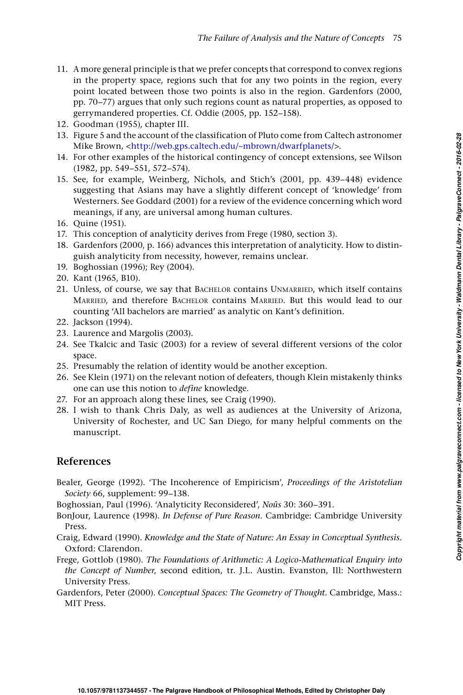- 11 . A more general principle is that we prefer concepts that correspond to convex regions in the property space, regions such that for any two points in the region, every point located between those two points is also in the region. Gardenfors (2000, pp. 70–77) argues that only such regions count as natural properties, as opposed to gerrymandered properties. Cf. Oddie (2005, pp. 152–158).
- 12. Goodman (1955), chapter III.
- 13 . Figure 5 and the account of the classification of Pluto come from Caltech astronomer Mike Brown, <http://web.gps.caltech.edu/~mbrown/dwarfplanets/>.
- 14 . For other examples of the historical contingency of concept extensions, see Wilson (1982, pp. 549–551, 572–574).
- 15 . See, for example, Weinberg, Nichols, and Stich's (2001, pp. 439–448) evidence suggesting that Asians may have a slightly different concept of 'knowledge' from Westerners. See Goddard (2001) for a review of the evidence concerning which word meanings, if any, are universal among human cultures.
- 16. Quine (1951).
- 17 . This conception of analyticity derives from Frege (1980, section 3).
- 18 . Gardenfors (2000, p. 166) advances this interpretation of analyticity. How to distinguish analyticity from necessity, however, remains unclear.
- 19 . Boghossian (1996); Rey (2004).
- 20. Kant (1965, B10).
- 21 . Unless, of course, we say that BACHELOR contains UNMARRIED, which itself contains MARRIED, and therefore BACHELOR contains MARRIED. But this would lead to our counting 'All bachelors are married' as analytic on Kant's definition.
- 22 . Jackson (1994).
- 23. Laurence and Margolis (2003).
- 24 . See Tkalcic and Tasic (2003) for a review of several different versions of the color space.
- 25 . Presumably the relation of identity would be another exception.
- 26 . See Klein (1971) on the relevant notion of defeaters, though Klein mistakenly thinks one can use this notion to *define* knowledge.
- 27. For an approach along these lines, see Craig (1990).
- 28 . I wish to thank Chris Daly, as well as audiences at the University of Arizona, University of Rochester, and UC San Diego, for many helpful comments on the manuscript.

## **References**

- Bealer, George (1992). 'The Incoherence of Empiricism', *Proceedings of the Aristotelian Society* 66, supplement: 99–138.
- Boghossian, Paul (1996). 'Analyticity Reconsidered', *Noûs* 30: 360–391.
- BonJour, Laurence (1998). *In Defense of Pure Reason*. Cambridge: Cambridge University Press.
- Craig, Edward (1990). *Knowledge and the State of Nature: An Essay in Conceptual Synthesis* . Oxford: Clarendon.
- Frege, Gottlob (1980). *The Foundations of Arithmetic: A Logico-Mathematical Enquiry into the Concept of Number*, second edition, tr. J.L. Austin. Evanston, Ill: Northwestern University Press.
- Gardenfors, Peter (2000). *Conceptual Spaces: The Geometry of Thought*. Cambridge, Mass.: MIT Press.